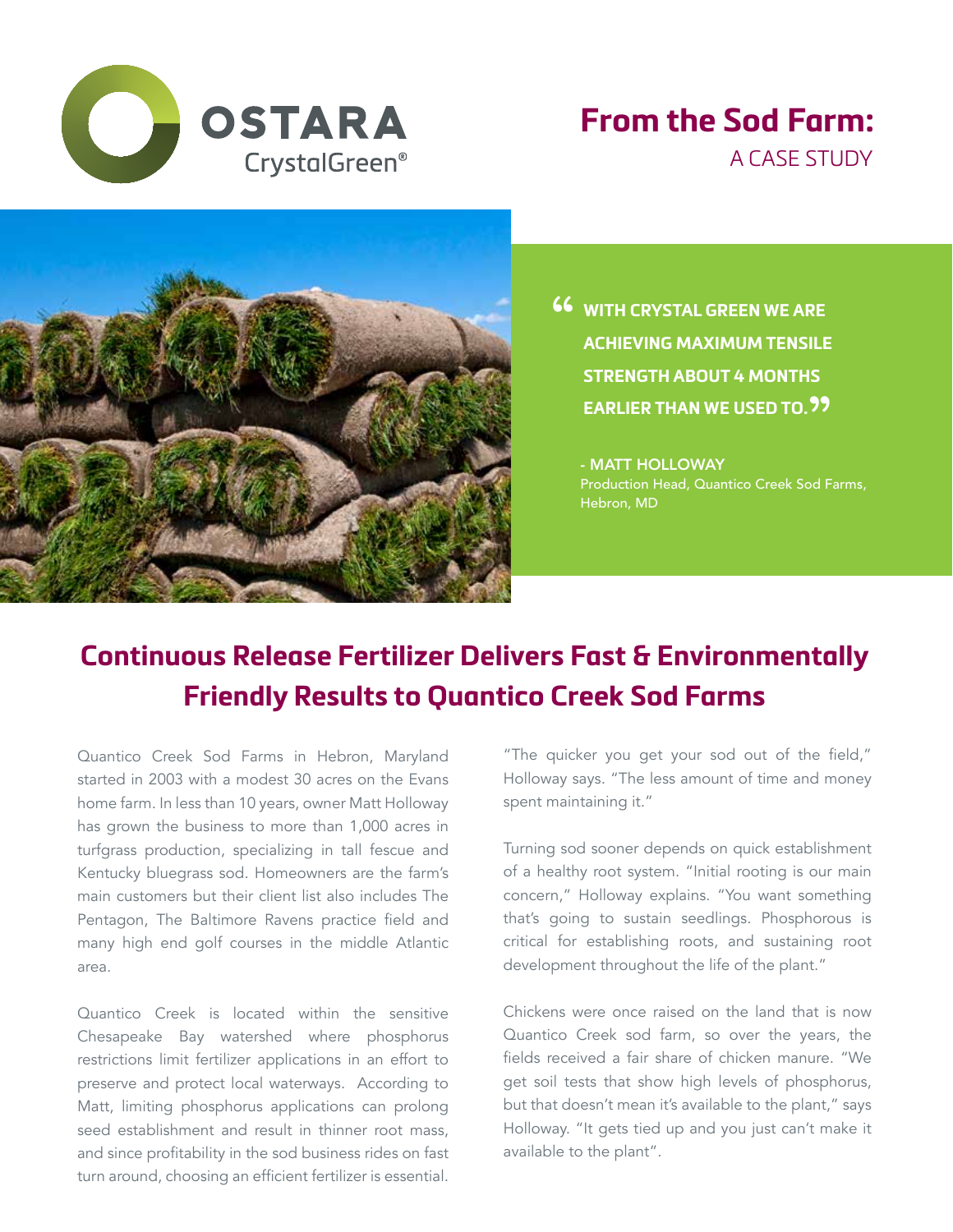

## **From the Sod Farm:** A CASE STUDY



**46** WITH CRYSTAL GREEN WE ARE<br>ACHIEVING MAXIMUM TENSILE **ACHIEVING MAXIMUM TENSILE STRENGTH ABOUT 4 MONTHS**  EARLIER THAN WE USED TO.<sup>99</sup>

- MATT HOLLOWAY Production Head, Quantico Creek Sod Farms, Hebron, MD

## **Continuous Release Fertilizer Delivers Fast & Environmentally Friendly Results to Quantico Creek Sod Farms**

Quantico Creek Sod Farms in Hebron, Maryland started in 2003 with a modest 30 acres on the Evans home farm. In less than 10 years, owner Matt Holloway has grown the business to more than 1,000 acres in turfgrass production, specializing in tall fescue and Kentucky bluegrass sod. Homeowners are the farm's main customers but their client list also includes The Pentagon, The Baltimore Ravens practice field and many high end golf courses in the middle Atlantic area.

Quantico Creek is located within the sensitive Chesapeake Bay watershed where phosphorus restrictions limit fertilizer applications in an effort to preserve and protect local waterways. According to Matt, limiting phosphorus applications can prolong seed establishment and result in thinner root mass, and since profitability in the sod business rides on fast turn around, choosing an efficient fertilizer is essential.

"The quicker you get your sod out of the field," Holloway says. "The less amount of time and money spent maintaining it."

Turning sod sooner depends on quick establishment of a healthy root system. "Initial rooting is our main concern," Holloway explains. "You want something that's going to sustain seedlings. Phosphorous is critical for establishing roots, and sustaining root development throughout the life of the plant."

Chickens were once raised on the land that is now Quantico Creek sod farm, so over the years, the fields received a fair share of chicken manure. "We get soil tests that show high levels of phosphorus, but that doesn't mean it's available to the plant," says Holloway. "It gets tied up and you just can't make it available to the plant".